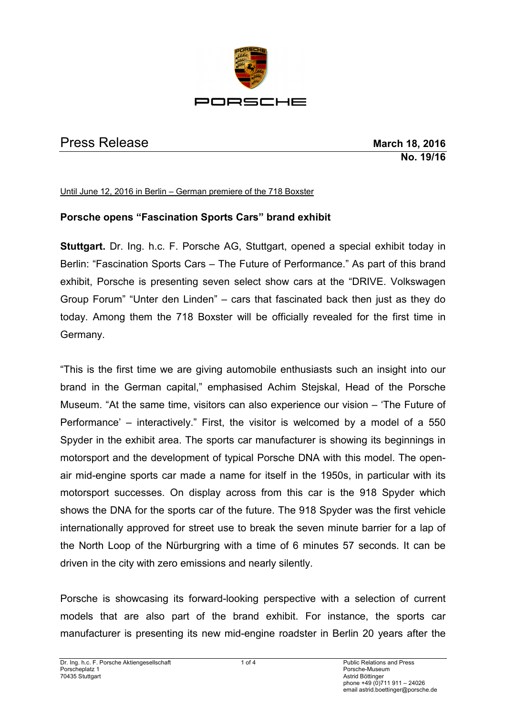

## Press Release **March 18, 2016**

**No. 19/16**

Until June 12, 2016 in Berlin – German premiere of the 718 Boxster

## **Porsche opens "Fascination Sports Cars" brand exhibit**

**Stuttgart.** Dr. Ing. h.c. F. Porsche AG, Stuttgart, opened a special exhibit today in Berlin: "Fascination Sports Cars – The Future of Performance." As part of this brand exhibit, Porsche is presenting seven select show cars at the "DRIVE. Volkswagen Group Forum" "Unter den Linden" – cars that fascinated back then just as they do today. Among them the 718 Boxster will be officially revealed for the first time in Germany.

"This is the first time we are giving automobile enthusiasts such an insight into our brand in the German capital," emphasised Achim Stejskal, Head of the Porsche Museum. "At the same time, visitors can also experience our vision – 'The Future of Performance' – interactively." First, the visitor is welcomed by a model of a 550 Spyder in the exhibit area. The sports car manufacturer is showing its beginnings in motorsport and the development of typical Porsche DNA with this model. The openair mid-engine sports car made a name for itself in the 1950s, in particular with its motorsport successes. On display across from this car is the 918 Spyder which shows the DNA for the sports car of the future. The 918 Spyder was the first vehicle internationally approved for street use to break the seven minute barrier for a lap of the North Loop of the Nürburgring with a time of 6 minutes 57 seconds. It can be driven in the city with zero emissions and nearly silently.

Porsche is showcasing its forward-looking perspective with a selection of current models that are also part of the brand exhibit. For instance, the sports car manufacturer is presenting its new mid-engine roadster in Berlin 20 years after the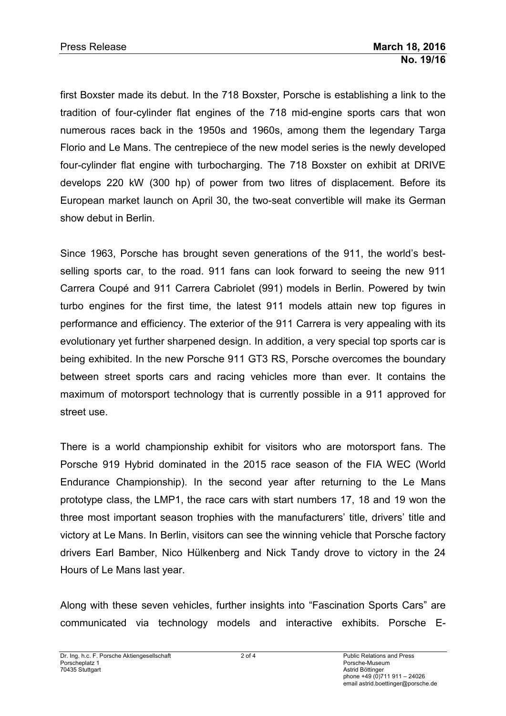first Boxster made its debut. In the 718 Boxster, Porsche is establishing a link to the tradition of four-cylinder flat engines of the 718 mid-engine sports cars that won numerous races back in the 1950s and 1960s, among them the legendary Targa Florio and Le Mans. The centrepiece of the new model series is the newly developed four-cylinder flat engine with turbocharging. The 718 Boxster on exhibit at DRIVE develops 220 kW (300 hp) of power from two litres of displacement. Before its European market launch on April 30, the two-seat convertible will make its German show debut in Berlin.

Since 1963, Porsche has brought seven generations of the 911, the world's bestselling sports car, to the road. 911 fans can look forward to seeing the new 911 Carrera Coupé and 911 Carrera Cabriolet (991) models in Berlin. Powered by twin turbo engines for the first time, the latest 911 models attain new top figures in performance and efficiency. The exterior of the 911 Carrera is very appealing with its evolutionary yet further sharpened design. In addition, a very special top sports car is being exhibited. In the new Porsche 911 GT3 RS, Porsche overcomes the boundary between street sports cars and racing vehicles more than ever. It contains the maximum of motorsport technology that is currently possible in a 911 approved for street use.

There is a world championship exhibit for visitors who are motorsport fans. The Porsche 919 Hybrid dominated in the 2015 race season of the FIA WEC (World Endurance Championship). In the second year after returning to the Le Mans prototype class, the LMP1, the race cars with start numbers 17, 18 and 19 won the three most important season trophies with the manufacturers' title, drivers' title and victory at Le Mans. In Berlin, visitors can see the winning vehicle that Porsche factory drivers Earl Bamber, Nico Hülkenberg and Nick Tandy drove to victory in the 24 Hours of Le Mans last year.

Along with these seven vehicles, further insights into "Fascination Sports Cars" are communicated via technology models and interactive exhibits. Porsche E-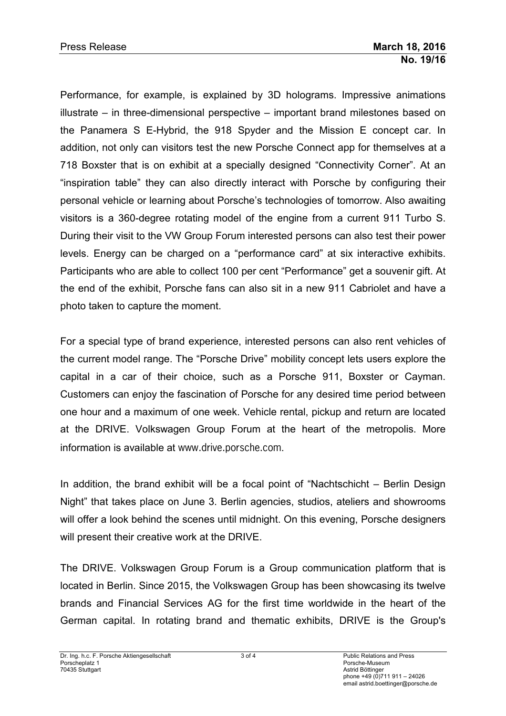Performance, for example, is explained by 3D holograms. Impressive animations illustrate – in three-dimensional perspective – important brand milestones based on the Panamera S E-Hybrid, the 918 Spyder and the Mission E concept car. In addition, not only can visitors test the new Porsche Connect app for themselves at a 718 Boxster that is on exhibit at a specially designed "Connectivity Corner". At an "inspiration table" they can also directly interact with Porsche by configuring their personal vehicle or learning about Porsche's technologies of tomorrow. Also awaiting visitors is a 360-degree rotating model of the engine from a current 911 Turbo S. During their visit to the VW Group Forum interested persons can also test their power levels. Energy can be charged on a "performance card" at six interactive exhibits. Participants who are able to collect 100 per cent "Performance" get a souvenir gift. At the end of the exhibit, Porsche fans can also sit in a new 911 Cabriolet and have a photo taken to capture the moment.

For a special type of brand experience, interested persons can also rent vehicles of the current model range. The "Porsche Drive" mobility concept lets users explore the capital in a car of their choice, such as a Porsche 911, Boxster or Cayman. Customers can enjoy the fascination of Porsche for any desired time period between one hour and a maximum of one week. Vehicle rental, pickup and return are located at the DRIVE. Volkswagen Group Forum at the heart of the metropolis. More information is available at [www.drive.porsche.com](http://www.drive.porsche.com/).

In addition, the brand exhibit will be a focal point of "Nachtschicht – Berlin Design Night" that takes place on June 3. Berlin agencies, studios, ateliers and showrooms will offer a look behind the scenes until midnight. On this evening, Porsche designers will present their creative work at the DRIVE.

The DRIVE. Volkswagen Group Forum is a Group communication platform that is located in Berlin. Since 2015, the Volkswagen Group has been showcasing its twelve brands and Financial Services AG for the first time worldwide in the heart of the German capital. In rotating brand and thematic exhibits, DRIVE is the Group's